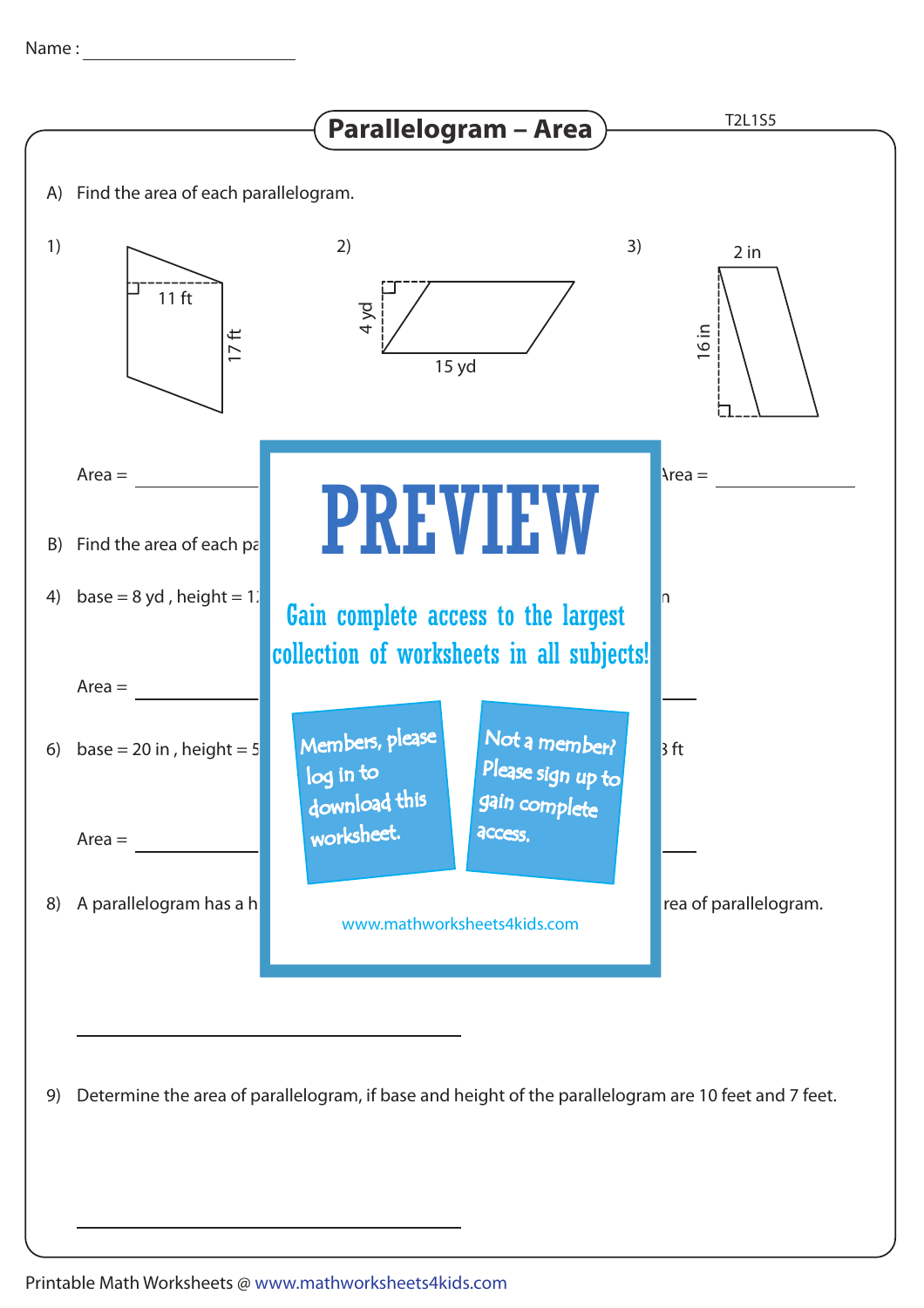